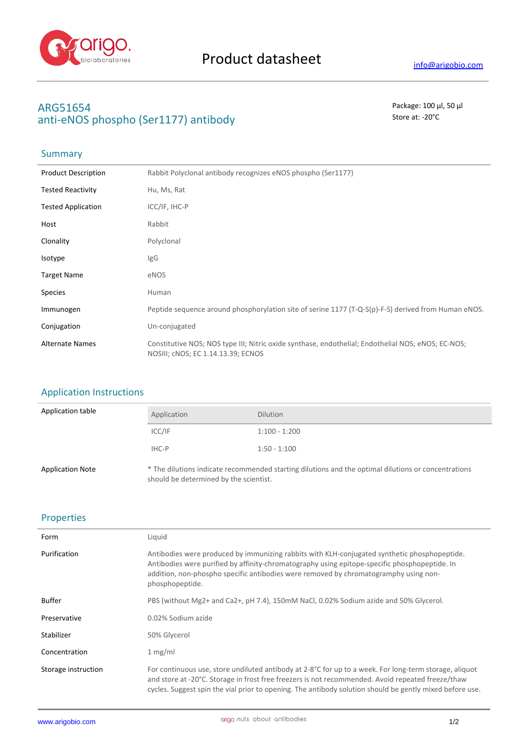

# **ARG51654** Package: 100 μl, 50 μl anti-eNOS phospho (Ser1177) antibody and state at: -20<sup>°</sup>C

# **Summary**

| <b>Product Description</b> | Rabbit Polyclonal antibody recognizes eNOS phospho (Ser1177)                                                                             |
|----------------------------|------------------------------------------------------------------------------------------------------------------------------------------|
| <b>Tested Reactivity</b>   | Hu, Ms, Rat                                                                                                                              |
| <b>Tested Application</b>  | ICC/IF, IHC-P                                                                                                                            |
| Host                       | Rabbit                                                                                                                                   |
| Clonality                  | Polyclonal                                                                                                                               |
| Isotype                    | IgG                                                                                                                                      |
| <b>Target Name</b>         | eNOS                                                                                                                                     |
| <b>Species</b>             | Human                                                                                                                                    |
| Immunogen                  | Peptide sequence around phosphorylation site of serine 1177 (T-Q-S(p)-F-S) derived from Human eNOS.                                      |
| Conjugation                | Un-conjugated                                                                                                                            |
| <b>Alternate Names</b>     | Constitutive NOS; NOS type III; Nitric oxide synthase, endothelial; Endothelial NOS; eNOS; EC-NOS;<br>NOSIII; CNOS; EC 1.14.13.39; ECNOS |

### Application Instructions

| Application table       | Application                            | <b>Dilution</b>                                                                                     |
|-------------------------|----------------------------------------|-----------------------------------------------------------------------------------------------------|
|                         | ICC/IF                                 | $1:100 - 1:200$                                                                                     |
|                         | IHC-P                                  | $1:50 - 1:100$                                                                                      |
| <b>Application Note</b> | should be determined by the scientist. | * The dilutions indicate recommended starting dilutions and the optimal dilutions or concentrations |

### Properties

| Form                | Liquid                                                                                                                                                                                                                                                                                                                  |
|---------------------|-------------------------------------------------------------------------------------------------------------------------------------------------------------------------------------------------------------------------------------------------------------------------------------------------------------------------|
| Purification        | Antibodies were produced by immunizing rabbits with KLH-conjugated synthetic phosphopeptide.<br>Antibodies were purified by affinity-chromatography using epitope-specific phosphopeptide. In<br>addition, non-phospho specific antibodies were removed by chromatogramphy using non-<br>phosphopeptide.                |
| <b>Buffer</b>       | PBS (without Mg2+ and Ca2+, pH 7.4), 150mM NaCl, 0.02% Sodium azide and 50% Glycerol.                                                                                                                                                                                                                                   |
| Preservative        | 0.02% Sodium azide                                                                                                                                                                                                                                                                                                      |
| Stabilizer          | 50% Glycerol                                                                                                                                                                                                                                                                                                            |
| Concentration       | 1 mg/ml                                                                                                                                                                                                                                                                                                                 |
| Storage instruction | For continuous use, store undiluted antibody at 2-8°C for up to a week. For long-term storage, aliquot<br>and store at -20°C. Storage in frost free freezers is not recommended. Avoid repeated freeze/thaw<br>cycles. Suggest spin the vial prior to opening. The antibody solution should be gently mixed before use. |